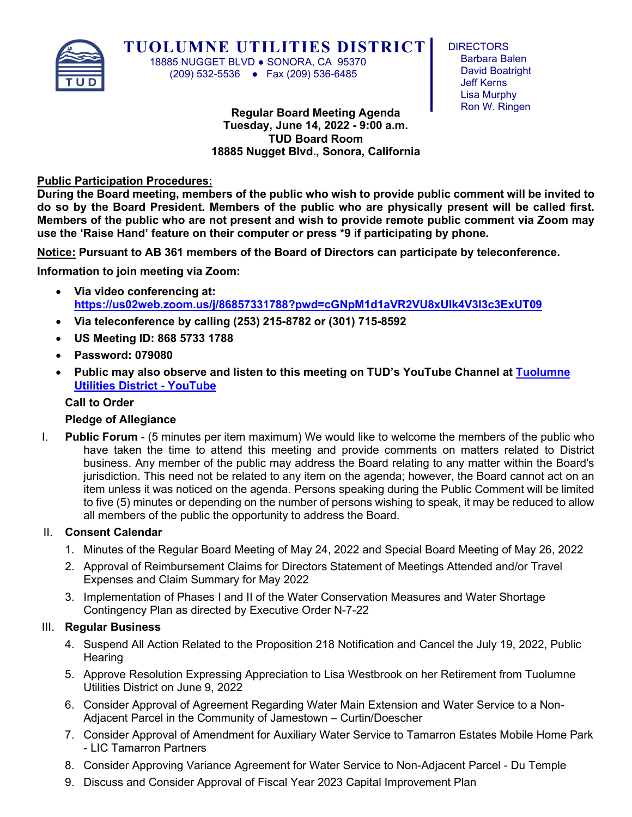

**TUOLUMNE UTILITIES DISTRICT**

 18885 NUGGET BLVD ● SONORA, CA 95370 (209) 532-5536 ● Fax (209) 536-6485

**DIRECTORS** Barbara Balen David Boatright Jeff Kerns Lisa Murphy Ron W. Ringen

**Regular Board Meeting Agenda Tuesday, June 14, 2022 - 9:00 a.m. TUD Board Room 18885 Nugget Blvd., Sonora, California**

### **Public Participation Procedures:**

**During the Board meeting, members of the public who wish to provide public comment will be invited to do so by the Board President. Members of the public who are physically present will be called first. Members of the public who are not present and wish to provide remote public comment via Zoom may use the 'Raise Hand' feature on their computer or press \*9 if participating by phone.** 

**Notice: Pursuant to AB 361 members of the Board of Directors can participate by teleconference.** 

**Information to join meeting via Zoom:**

- **Via video conferencing at: <https://us02web.zoom.us/j/86857331788?pwd=cGNpM1d1aVR2VU8xUlk4V3l3c3ExUT09>**
- **Via teleconference by calling (253) 215-8782 or (301) 715-8592**
- **US Meeting ID: 868 5733 1788**
- **Password: 079080**
- **Public may also observe and listen to this meeting on TUD's YouTube Channel at [Tuolumne](https://www.youtube.com/channel/UCvIcq7YKTcjHlI8A6b759AA)  [Utilities District -](https://www.youtube.com/channel/UCvIcq7YKTcjHlI8A6b759AA) YouTube**

## **Call to Order**

# **Pledge of Allegiance**

I. **Public Forum** - (5 minutes per item maximum) We would like to welcome the members of the public who have taken the time to attend this meeting and provide comments on matters related to District business. Any member of the public may address the Board relating to any matter within the Board's jurisdiction. This need not be related to any item on the agenda; however, the Board cannot act on an item unless it was noticed on the agenda. Persons speaking during the Public Comment will be limited to five (5) minutes or depending on the number of persons wishing to speak, it may be reduced to allow all members of the public the opportunity to address the Board.

### II. **Consent Calendar**

- 1. Minutes of the Regular Board Meeting of May 24, 2022 and Special Board Meeting of May 26, 2022
- 2. Approval of Reimbursement Claims for Directors Statement of Meetings Attended and/or Travel Expenses and Claim Summary for May 2022
- 3. Implementation of Phases I and II of the Water Conservation Measures and Water Shortage Contingency Plan as directed by Executive Order N-7-22

### III. **Regular Business**

- 4. Suspend All Action Related to the Proposition 218 Notification and Cancel the July 19, 2022, Public **Hearing**
- 5. Approve Resolution Expressing Appreciation to Lisa Westbrook on her Retirement from Tuolumne Utilities District on June 9, 2022
- 6. Consider Approval of Agreement Regarding Water Main Extension and Water Service to a Non-Adjacent Parcel in the Community of Jamestown – Curtin/Doescher
- 7. Consider Approval of Amendment for Auxiliary Water Service to Tamarron Estates Mobile Home Park - LIC Tamarron Partners
- 8. Consider Approving Variance Agreement for Water Service to Non-Adjacent Parcel Du Temple
- 9. Discuss and Consider Approval of Fiscal Year 2023 Capital Improvement Plan